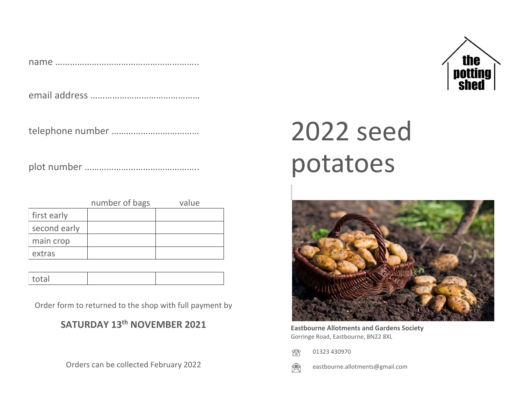name …………………………………………………..

email address ………………………………………

telephone number ………………………………

plot number ………………………………………..

|              | number of bags | value |
|--------------|----------------|-------|
| first early  |                |       |
| second early |                |       |
| main crop    |                |       |
| extras       |                |       |

| $+$ $\cap$ $+$ $\cap$ $+$<br> |
|-------------------------------|
|-------------------------------|

Order form to returned to the shop with full payment by

#### **SATURDAY 13 th NOVEMBER 2021**

Orders can be collected February 2022

# 2022 seed potatoes



**Eastbourne Allotments and Gardens Society** Gorringe Road, Eastbourne, BN22 8XL

 01323 430970 Æ



eastbourne.allotments@gmail.com